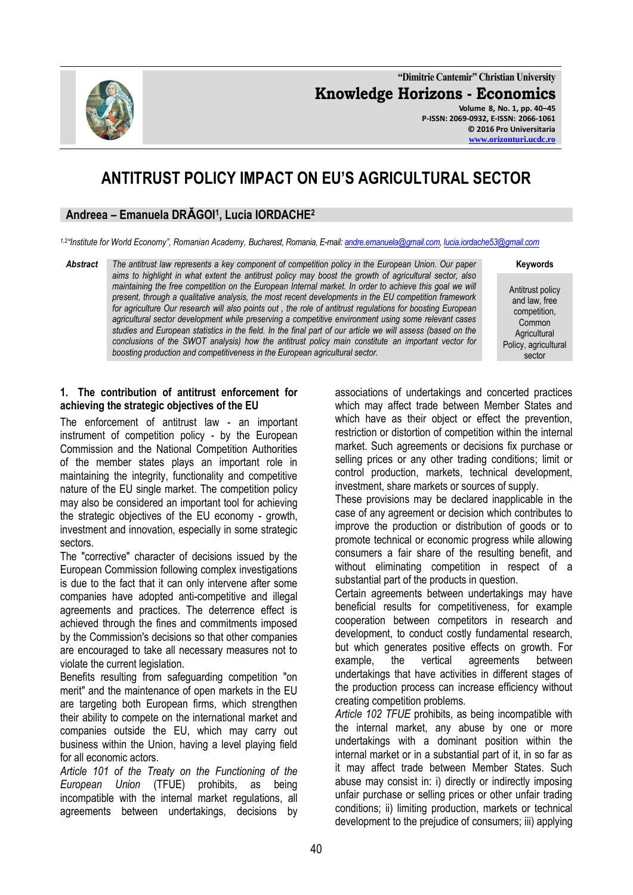**"Dimitrie Cantemir" Christian University Knowledge Horizons - Economics Volume 8, No. 1, pp. 40–45 P-ISSN: 2069-0932, E-ISSN: 2066-1061**

**© 2016 Pro Universitaria [www.orizonturi.ucdc.ro](http://www.orizonturi.ucdc.ro/)**

# **ANTITRUST POLICY IMPACT ON EU'S AGRICULTURAL SECTOR**

## **Andreea – Emanuela DRǍGOI<sup>1</sup> , Lucia IORDACHE<sup>2</sup>**

*1,2"Institute for World Economy", Romanian Academy, Bucharest, Romania, E-mail[: andre.emanuela@gmail.com,](mailto:andre.emanuela@gmail.com) [lucia.iordache53@gmail.com](mailto:lucia.iordache53@gmail.com)*

*Abstract The antitrust law represents a key component of competition policy in the European Union. Our paper aims to highlight in what extent the antitrust policy may boost the growth of agricultural sector, also maintaining the free competition on the European Internal market. In order to achieve this goal we will present, through a qualitative analysis, the most recent developments in the EU competition framework for agriculture Our research will also points out , the role of antitrust regulations for boosting European agricultural sector development while preserving a competitive environment using some relevant cases studies and European statistics in the field. In the final part of our article we will assess (based on the conclusions of the SWOT analysis) how the antitrust policy main constitute an important vector for boosting production and competitiveness in the European agricultural sector.*

Antitrust policy and law, free competition, Common **Agricultural** Policy, agricultural sector

**Keywords**

## **1. The contribution of antitrust enforcement for achieving the strategic objectives of the EU**

The enforcement of antitrust law - an important instrument of competition policy - by the European Commission and the National Competition Authorities of the member states plays an important role in maintaining the integrity, functionality and competitive nature of the EU single market. The competition policy may also be considered an important tool for achieving the strategic objectives of the EU economy - growth, investment and innovation, especially in some strategic sectors.

The "corrective" character of decisions issued by the European Commission following complex investigations is due to the fact that it can only intervene after some companies have adopted anti-competitive and illegal agreements and practices. The deterrence effect is achieved through the fines and commitments imposed by the Commission's decisions so that other companies are encouraged to take all necessary measures not to violate the current legislation.

Benefits resulting from safeguarding competition "on merit" and the maintenance of open markets in the EU are targeting both European firms, which strengthen their ability to compete on the international market and companies outside the EU, which may carry out business within the Union, having a level playing field for all economic actors.

*Article 101 of the Treaty on the Functioning of the European Union* (TFUE) prohibits, as being incompatible with the internal market regulations, all agreements between undertakings, decisions by associations of undertakings and concerted practices which may affect trade between Member States and which have as their object or effect the prevention, restriction or distortion of competition within the internal market. Such agreements or decisions fix purchase or selling prices or any other trading conditions; limit or control production, markets, technical development, investment, share markets or sources of supply.

These provisions may be declared inapplicable in the case of any agreement or decision which contributes to improve the production or distribution of goods or to promote technical or economic progress while allowing consumers a fair share of the resulting benefit, and without eliminating competition in respect of a substantial part of the products in question.

Certain agreements between undertakings may have beneficial results for competitiveness, for example cooperation between competitors in research and development, to conduct costly fundamental research, but which generates positive effects on growth. For example, the vertical agreements between undertakings that have activities in different stages of the production process can increase efficiency without creating competition problems.

*Article 102 TFUE* prohibits, as being incompatible with the internal market, any abuse by one or more undertakings with a dominant position within the internal market or in a substantial part of it, in so far as it may affect trade between Member States. Such abuse may consist in: i) directly or indirectly imposing unfair purchase or selling prices or other unfair trading conditions; ii) limiting production, markets or technical development to the prejudice of consumers; iii) applying

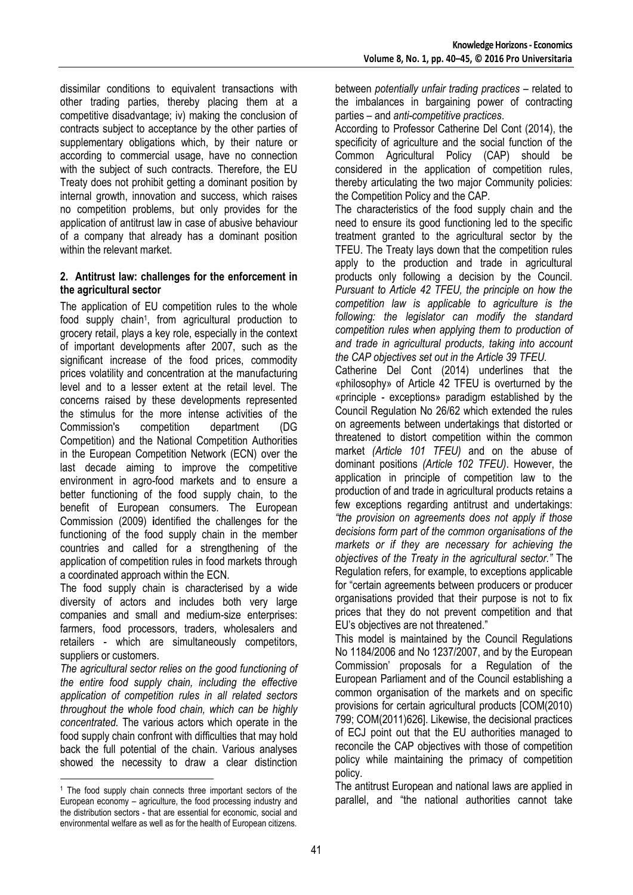dissimilar conditions to equivalent transactions with other trading parties, thereby placing them at a competitive disadvantage; iv) making the conclusion of contracts subject to acceptance by the other parties of supplementary obligations which, by their nature or according to commercial usage, have no connection with the subject of such contracts. Therefore, the EU Treaty does not prohibit getting a dominant position by internal growth, innovation and success, which raises no competition problems, but only provides for the application of antitrust law in case of abusive behaviour of a company that already has a dominant position within the relevant market.

## **2. Antitrust law: challenges for the enforcement in the agricultural sector**

The application of EU competition rules to the whole food supply chain<sup>1</sup>, from agricultural production to grocery retail, plays a key role, especially in the context of important developments after 2007, such as the significant increase of the food prices, commodity prices volatility and concentration at the manufacturing level and to a lesser extent at the retail level. The concerns raised by these developments represented the stimulus for the more intense activities of the Commission's competition department (DG Competition) and the National Competition Authorities in the European Competition Network (ECN) over the last decade aiming to improve the competitive environment in agro-food markets and to ensure a better functioning of the food supply chain, to the benefit of European consumers. The European Commission (2009) **i**dentified the challenges for the functioning of the food supply chain in the member countries and called for a strengthening of the application of competition rules in food markets through a coordinated approach within the ECN.

The food supply chain is characterised by a wide diversity of actors and includes both very large companies and small and medium-size enterprises: farmers, food processors, traders, wholesalers and retailers - which are simultaneously competitors, suppliers or customers.

*The agricultural sector relies on the good functioning of the entire food supply chain, including the effective application of competition rules in all related sectors throughout the whole food chain, which can be highly concentrated.* The various actors which operate in the food supply chain confront with difficulties that may hold back the full potential of the chain. Various analyses showed the necessity to draw a clear distinction

<u>.</u>

between *potentially unfair trading practices* – related to the imbalances in bargaining power of contracting parties – and *anti-competitive practices*.

According to Professor Catherine Del Cont (2014), the specificity of agriculture and the social function of the Common Agricultural Policy (CAP) should be considered in the application of competition rules, thereby articulating the two major Community policies: the Competition Policy and the CAP.

The characteristics of the food supply chain and the need to ensure its good functioning led to the specific treatment granted to the agricultural sector by the TFEU. The Treaty lays down that the competition rules apply to the production and trade in agricultural products only following a decision by the Council. *Pursuant to Article 42 TFEU, the principle on how the competition law is applicable to agriculture is the following: the legislator can modify the standard competition rules when applying them to production of and trade in agricultural products, taking into account the CAP objectives set out in the Article 39 TFEU.* 

Catherine Del Cont (2014) underlines that the «philosophy» of Article 42 TFEU is overturned by the «principle - exceptions» paradigm established by the Council Regulation No 26/62 which extended the rules on agreements between undertakings that distorted or threatened to distort competition within the common market *(Article 101 TFEU)* and on the abuse of dominant positions *(Article 102 TFEU)*. However, the application in principle of competition law to the production of and trade in agricultural products retains a few exceptions regarding antitrust and undertakings: *"the provision on agreements does not apply if those decisions form part of the common organisations of the markets or if they are necessary for achieving the objectives of the Treaty in the agricultural sector."* The Regulation refers, for example, to exceptions applicable for "certain agreements between producers or producer organisations provided that their purpose is not to fix prices that they do not prevent competition and that EU's objectives are not threatened."

This model is maintained by the Council Regulations No 1184/2006 and No 1237/2007, and by the European Commission' proposals for a Regulation of the European Parliament and of the Council establishing a common organisation of the markets and on specific provisions for certain agricultural products [COM(2010) 799; COM(2011)626]. Likewise, the decisional practices of ECJ point out that the EU authorities managed to reconcile the CAP objectives with those of competition policy while maintaining the primacy of competition policy.

The antitrust European and national laws are applied in parallel, and "the national authorities cannot take

<sup>&</sup>lt;sup>1</sup> The food supply chain connects three important sectors of the European economy – agriculture, the food processing industry and the distribution sectors - that are essential for economic, social and environmental welfare as well as for the health of European citizens.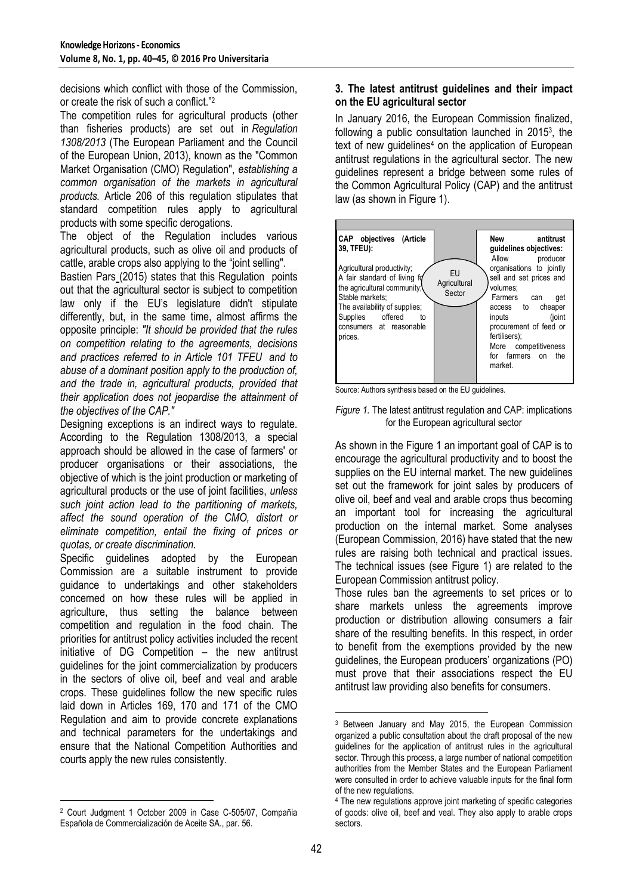decisions which conflict with those of the Commission, or create the risk of such a conflict."<sup>2</sup>

The competition rules for agricultural products (other than fisheries products) are set out in *[Regulation](http://eur-lex.europa.eu/legal-content/EN/ALL/?uri=CELEX:32013R1308)  [1308/2013](http://eur-lex.europa.eu/legal-content/EN/ALL/?uri=CELEX:32013R1308)* (The European Parliament and the Council of the European Union, 2013), known as the "Common Market Organisation (CMO) Regulation", *[establishing a](http://thejournalofregulation.com/en/article/reglement-ue-n-13082013-du-parlement-europeen-et-d/)  [common organisation of the markets in agricultural](http://thejournalofregulation.com/en/article/reglement-ue-n-13082013-du-parlement-europeen-et-d/)  [products.](http://thejournalofregulation.com/en/article/reglement-ue-n-13082013-du-parlement-europeen-et-d/)* Article 206 of this regulation stipulates that standard competition rules apply to agricultural products with some specific derogations.

The object of the Regulation includes various agricultural products, such as olive oil and products of cattle, arable crops also applying to the "joint selling".

[Bastien Pars](http://thejournalofregulation.com/profiles/3/) (2015) states that this Regulation points out that the agricultural sector is subject to competition law only if the EU's legislature didn't stipulate differently, but, in the same time, almost affirms the opposite principle: *"It should be provided that the rules on competition relating to the agreements, decisions and practices referred to in Article 101 TFEU and to abuse of a dominant position apply to the production of, and the trade in, agricultural products, provided that their application does not jeopardise the attainment of the objectives of the CAP."*

Designing exceptions is an indirect ways to regulate. According to the Regulation 1308/2013, a special approach should be allowed in the case of farmers' or producer organisations or their associations, the objective of which is the joint production or marketing of agricultural products or the use of joint facilities, *unless such joint action lead to the partitioning of markets, affect the sound operation of the CMO, distort or eliminate competition, entail the fixing of prices or quotas, or create discrimination.*

Specific guidelines adopted by the European Commission are a suitable instrument to provide guidance to undertakings and other stakeholders concerned on how these rules will be applied in agriculture, thus setting the balance between competition and regulation in the food chain. The priorities for antitrust policy activities included the recent initiative of DG Competition – the new antitrust guidelines for the joint commercialization by producers in the sectors of olive oil, beef and veal and arable crops. These guidelines follow the new specific rules laid down in Articles 169, 170 and 171 of the CMO Regulation and aim to provide concrete explanations and technical parameters for the undertakings and ensure that the National Competition Authorities and courts apply the new rules consistently.

#### <u>.</u> <sup>2</sup> Court Judgment 1 October 2009 in Case C-505/07, Compañia Española de Commercialización de Aceite SA., par. 56.

## **3. The latest antitrust guidelines and their impact on the EU agricultural sector**

In January 2016, the European Commission finalized, following a public consultation launched in 2015<sup>3</sup> , the text of new guidelines<sup>4</sup> on the application of European antitrust regulations in the agricultural sector. The new guidelines represent a bridge between some rules of the Common Agricultural Policy (CAP) and the antitrust law (as shown in Figure 1).



Source: Authors synthesis based on the EU guidelines.

### *Figure 1.* The latest antitrust regulation and CAP: implications for the European agricultural sector

As shown in the Figure 1 an important goal of CAP is to encourage the agricultural productivity and to boost the supplies on the EU internal market. The new guidelines set out the framework for joint sales by producers of olive oil, beef and veal and arable crops thus becoming an important tool for increasing the agricultural production on the internal market. Some analyses (European Commission, 2016) have stated that the new rules are raising both technical and practical issues. The technical issues (see Figure 1) are related to the European Commission antitrust policy.

Those rules ban the agreements to set prices or to share markets unless the agreements improve production or distribution allowing consumers a fair share of the resulting benefits. In this respect, in order to benefit from the exemptions provided by the new guidelines, the European producers' organizations (PO) must prove that their associations respect the EU antitrust law providing also benefits for consumers.

-

<sup>3</sup> Between January and May 2015, the European Commission organized a public consultation about the draft proposal of the new guidelines for the application of antitrust rules in the agricultural sector. Through this process, a large number of national competition authorities from the Member States and the European Parliament were consulted in order to achieve valuable inputs for the final form of the new regulations.

<sup>4</sup> The new regulations approve joint marketing of specific categories of goods: olive oil, beef and veal. They also apply to arable crops sectors.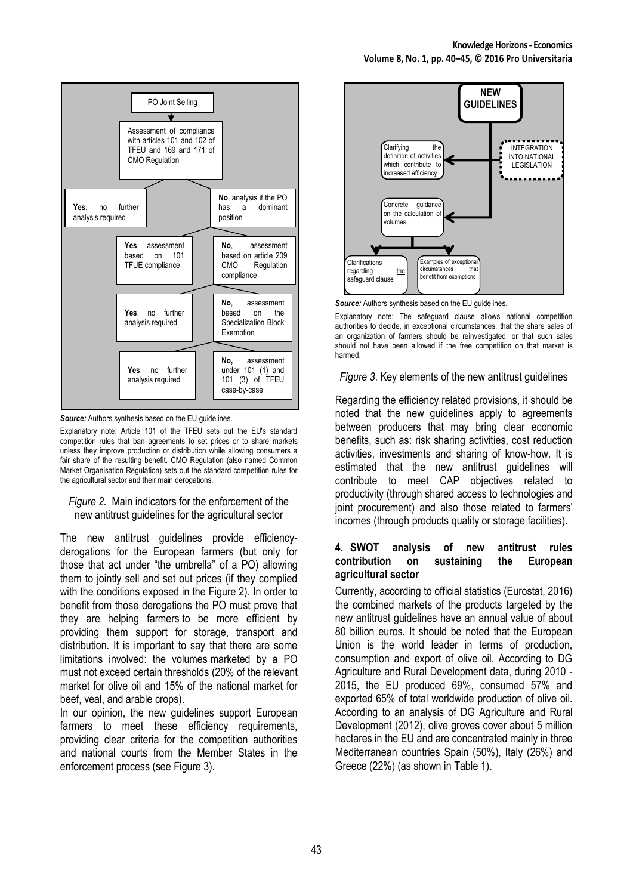

*Source:* Authors synthesis based on the EU quidelines.

Explanatory note: Article 101 of the TFEU sets out the EU's standard competition rules that ban agreements to set prices or to share markets unless they improve production or distribution while allowing consumers a fair share of the resulting benefit. CMO Regulation (also named Common Market Organisation Regulation) sets out the standard competition rules for the agricultural sector and their main derogations.

#### *Figure 2.* Main indicators for the enforcement of the new antitrust guidelines for the agricultural sector

The new antitrust guidelines provide efficiencyderogations for the European farmers (but only for those that act under "the umbrella" of a PO) allowing them to jointly sell and set out prices (if they complied with the conditions exposed in the Figure 2). In order to benefit from those derogations the PO must prove that they are helping farmers to be more efficient by providing them support for storage, transport and distribution. It is important to say that there are some limitations involved: the volumes marketed by a PO must not exceed certain thresholds (20% of the relevant market for olive oil and 15% of the national market for beef, veal, and arable crops).

In our opinion, the new guidelines support European farmers to meet these efficiency requirements, providing clear criteria for the competition authorities and national courts from the Member States in the enforcement process (see Figure 3).



**Source:** Authors synthesis based on the EU guidelines.

Explanatory note: The safeguard clause allows national competition authorities to decide, in exceptional circumstances, that the share sales of an organization of farmers should be reinvestigated, or that such sales should not have been allowed if the free competition on that market is harmed.

*Figure 3*. Key elements of the new antitrust guidelines

Regarding the efficiency related provisions, it should be noted that the new guidelines apply to agreements between producers that may bring clear economic benefits, such as: risk sharing activities, cost reduction activities, investments and sharing of know-how. It is estimated that the new antitrust guidelines will contribute to meet CAP objectives related to productivity (through shared access to technologies and joint procurement) and also those related to farmers' incomes (through products quality or storage facilities).

## **4. SWOT analysis of new antitrust rules contribution on sustaining the European agricultural sector**

Currently, according to official statistics (Eurostat, 2016) the combined markets of the products targeted by the new antitrust guidelines have an annual value of about 80 billion euros. It should be noted that the European Union is the world leader in terms of production, consumption and export of olive oil. According to DG Agriculture and Rural Development data, during 2010 - 2015, the EU produced 69%, consumed 57% and exported 65% of total worldwide production of olive oil. According to an analysis of DG Agriculture and Rural Development (2012), olive groves cover about 5 million hectares in the EU and are concentrated mainly in three Mediterranean countries Spain (50%), Italy (26%) and Greece (22%) (as shown in Table 1).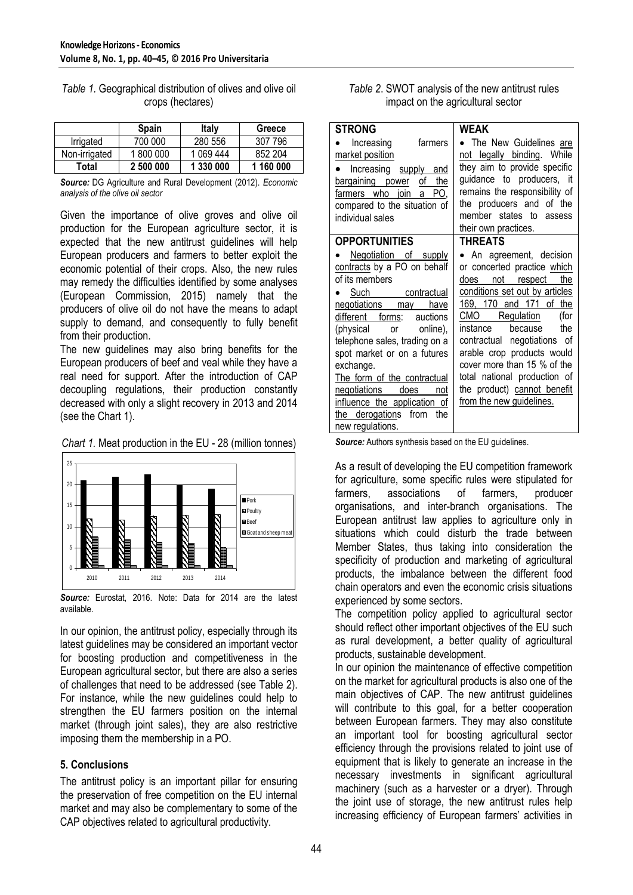|               | <b>Spain</b> | <b>Italy</b> | Greece    |
|---------------|--------------|--------------|-----------|
| Irrigated     | 700 000      | 280 556      | 307 796   |
| Non-irrigated | 1800000      | 1 069 444    | 852 204   |
| Total         | 2 500 000    | 1 330 000    | 1 160 000 |

*Table 1.* Geographical distribution of olives and olive oil crops (hectares)

*Source:* DG Agriculture and Rural Development (2012). *Economic analysis of the olive oil sector*

Given the importance of olive groves and olive oil production for the European agriculture sector, it is expected that the new antitrust guidelines will help European producers and farmers to better exploit the economic potential of their crops. Also, the new rules may remedy the difficulties identified by some analyses (European Commission, 2015) namely that the producers of olive oil do not have the means to adapt supply to demand, and consequently to fully benefit from their production.

The new guidelines may also bring benefits for the European producers of beef and veal while they have a real need for support. After the introduction of CAP decoupling regulations, their production constantly decreased with only a slight recovery in 2013 and 2014 (see the Chart 1).





*Source:* Eurostat, 2016. Note: Data for 2014 are the latest available.

In our opinion, the antitrust policy, especially through its latest guidelines may be considered an important vector for boosting production and competitiveness in the European agricultural sector, but there are also a series of challenges that need to be addressed (see Table 2). For instance, while the new guidelines could help to strengthen the EU farmers position on the internal market (through joint sales), they are also restrictive imposing them the membership in a PO.

## **5. Conclusions**

The antitrust policy is an important pillar for ensuring the preservation of free competition on the EU internal market and may also be complementary to some of the CAP objectives related to agricultural productivity.

|                                   | Table 2. SWOT analysis of the new antitrust rules |
|-----------------------------------|---------------------------------------------------|
| impact on the agricultural sector |                                                   |

| <b>STRONG</b>                                                                                                                                                                                                                                                                                                                                                                                                                | WEAK                                                                                                                                                                                                                                                                                                                                                                                                                |  |
|------------------------------------------------------------------------------------------------------------------------------------------------------------------------------------------------------------------------------------------------------------------------------------------------------------------------------------------------------------------------------------------------------------------------------|---------------------------------------------------------------------------------------------------------------------------------------------------------------------------------------------------------------------------------------------------------------------------------------------------------------------------------------------------------------------------------------------------------------------|--|
| Increasing<br>farmers<br>market position<br>Increasing supply and<br>of<br>the<br>bargaining power<br>farmers who join a PO,<br>compared to the situation of<br>individual sales                                                                                                                                                                                                                                             | • The New Guidelines are<br>not legally binding. While<br>they aim to provide specific<br>guidance to producers, it<br>remains the responsibility of<br>the producers and of the<br>member states to assess<br>their own practices.                                                                                                                                                                                 |  |
| <b>OPPORTUNITIES</b><br>Negotiation of supply<br>contracts by a PO on behalf<br>of its members<br>Such contractual<br>negotiations may have<br>different forms:<br>auctions<br>(physical or online),<br>telephone sales, trading on a<br>spot market or on a futures<br>exchange.<br>The form of the contractual<br>negotiations does not<br>influence the application of<br>the derogations from<br>the<br>new regulations. | <b>THREATS</b><br>• An agreement, decision<br>or concerted practice which<br>not respect<br>does<br>the<br>conditions set out by articles<br>169, 170 and 171 of the<br>CMO Regulation<br>(for<br>instance<br>because<br>the<br>contractual negotiations of<br>arable crop products would<br>cover more than 15 % of the<br>total national production of<br>the product) cannot benefit<br>from the new guidelines. |  |

**Source:** Authors synthesis based on the EU guidelines.

As a result of developing the EU competition framework for agriculture, some specific rules were stipulated for farmers, associations of farmers, producer organisations, and inter-branch organisations. The European antitrust law applies to agriculture only in situations which could disturb the trade between Member States, thus taking into consideration the specificity of production and marketing of agricultural products, the imbalance between the different food chain operators and even the economic crisis situations experienced by some sectors.

The competition policy applied to agricultural sector should reflect other important objectives of the EU such as rural development, a better quality of agricultural products, sustainable development.

In our opinion the maintenance of effective competition on the market for agricultural products is also one of the main objectives of CAP. The new antitrust guidelines will contribute to this goal, for a better cooperation between European farmers. They may also constitute an important tool for boosting agricultural sector efficiency through the provisions related to joint use of equipment that is likely to generate an increase in the necessary investments in significant agricultural machinery (such as a harvester or a dryer). Through the joint use of storage, the new antitrust rules help increasing efficiency of European farmers' activities in